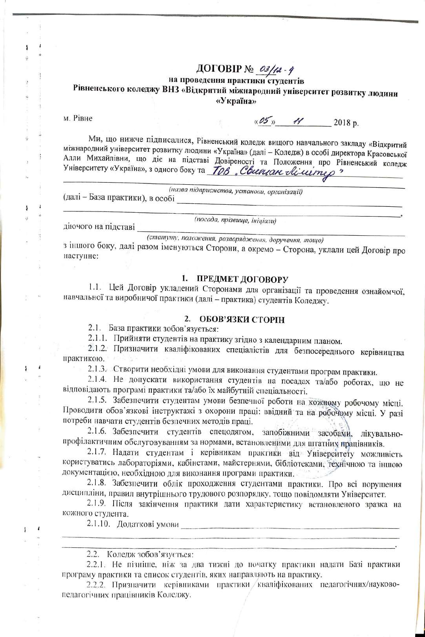# ДОГОВІР № 23/42 - 4<br>на проведення практики студентів

## Рівненського коледжу ВНЗ «Відкритий міжнародний університет розвитку людини

«Україна»

м. Рівне

 $\overline{\mathbf{1}}$ 

 $\mathbf{r}$ 

 $\mu$ 05  $\mu$  2018 p.

Ми, що нижче підписалися, Рівненський коледж вищого навчального закладу «Відкритий міжнародний університет розвитку людини «Україна» (далі - Коледж) в особі директора Красовської Алли Михайлівни, що діє на підставі Довіреності та Положення про Рівненський коледж<br>Університету «Україна», з одного боку та *ТОВ, Свееннам Аселеро* 

(назва підприємства, установи, організації) (далі - База практики), в особі

діючого на підставі \_\_\_\_\_\_\_\_\_\_\_

 $(nocada, npisauye, iniyiany)$ 

(статуту, положення, розпоряджения, доручення, тощо)

з іншого боку, далі разом іменуються Сторони, а окремо - Сторона, уклали цей Договір про наступне:

#### 1. ПРЕДМЕТ ДОГОВОРУ

1.1. Цей Договір укладений Сторонами для організації та проведення ознайомчої, навчальної та виробничої практики (далі - практика) студентів Коледжу.

#### 2. ОБОВ'ЯЗКИ СТОРІН

2.1. База практики зобов'язується:

2.1.1. Прийняти студентів на практику згідно з календарним планом.

2.1.2. Призначити кваліфікованих спеціалістів для безпосереднього керівництва практикою.

2.1.3. Створити необхідні умови для виконання студентами програм практики.

2.1.4. Не допускати використання студентів на посадах та/або роботах, що не відповідають програмі практики та/або їх майбутній спеціальності.

2.1.5. Забезпечити студентам умови безпечної роботи на кожному робочому місці. Проводити обов'язкові інструктажі з охорони праці: ввідний та на робочому місці. У разі потреби навчати студентів безпечних методів праці.

2.1.6. Забезпечити студентів спецодягом, запобіжними засобами, лікувальнопрофілактичним обслуговуванням за нормами, встановленими для штатних працівників.

2.1.7. Надати студентам і керівникам практики від Університету можливість користуватись лабораторіями, кабінетами, майстернями, бібліотеками, технічною та іншою документацією, необхідною для виконання програми практики.

2.1.8. Забезпечити облік проходження студентами практики. Про всі порушення дисципліни, правил внутрішнього трудового розпорядку, тощо повідомляти Університет.

2.1.9. Після закінчення практики дати характеристику встановленого зразка на кожного студента.

2.1.10. Додаткові умови

2.2. Коледж зобов'язується:

2.2.1. Не пізніше, ніж за два тижні до початку практики надати Базі практики програму практики та список студентів, яких направляють на практику.

2.2.2. Призначити керівниками практики кваліфікованих педагогічних/науковопедагогічних працівників Коледжу.